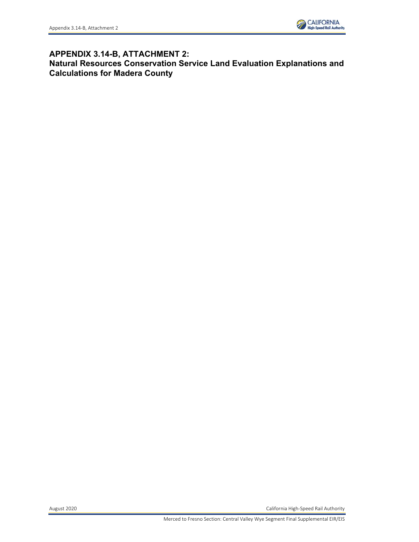

# **APPENDIX 3.14-B, ATTACHMENT 2: Natural Resources Conservation Service Land Evaluation Explanations and Calculations for Madera County**

August 2020 California High-Speed Rail Authority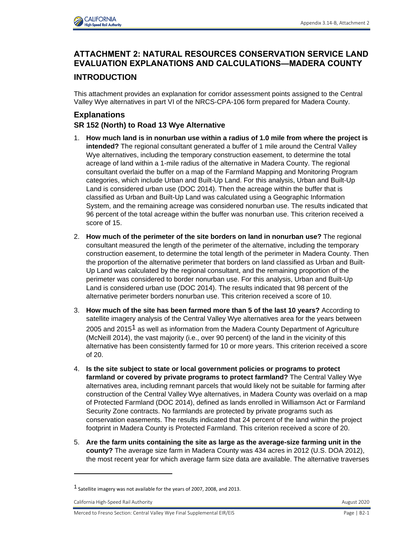

# **ATTACHMENT 2: NATURAL RESOURCES CONSERVATION SERVICE LAND EVALUATION EXPLANATIONS AND CALCULATIONS—MADERA COUNTY**

## **INTRODUCTION**

This attachment provides an explanation for corridor assessment points assigned to the Central Valley Wye alternatives in part VI of the NRCS-CPA-106 form prepared for Madera County.

# **Explanations**

### **SR 152 (North) to Road 13 Wye Alternative**

- 1. **How much land is in nonurban use within a radius of 1.0 mile from where the project is intended?** The regional consultant generated a buffer of 1 mile around the Central Valley Wye alternatives, including the temporary construction easement, to determine the total acreage of land within a 1-mile radius of the alternative in Madera County. The regional consultant overlaid the buffer on a map of the Farmland Mapping and Monitoring Program categories, which include Urban and Built-Up Land. For this analysis, Urban and Built-Up Land is considered urban use (DOC 2014). Then the acreage within the buffer that is classified as Urban and Built-Up Land was calculated using a Geographic Information System, and the remaining acreage was considered nonurban use. The results indicated that 96 percent of the total acreage within the buffer was nonurban use. This criterion received a score of 15.
- 2. **How much of the perimeter of the site borders on land in nonurban use?** The regional consultant measured the length of the perimeter of the alternative, including the temporary construction easement, to determine the total length of the perimeter in Madera County. Then the proportion of the alternative perimeter that borders on land classified as Urban and Built-Up Land was calculated by the regional consultant, and the remaining proportion of the perimeter was considered to border nonurban use. For this analysis, Urban and Built-Up Land is considered urban use (DOC 2014). The results indicated that 98 percent of the alternative perimeter borders nonurban use. This criterion received a score of 10.
- 3. **How much of the site has been farmed more than 5 of the last 10 years?** According to satellite imagery analysis of the Central Valley Wye alternatives area for the years between 2005 and 2015<sup>1</sup> as well as information from the Madera County Department of Agriculture (McNeill 2014), the vast majority (i.e., over 90 percent) of the land in the vicinity of this alternative has been consistently farmed for 10 or more years. This criterion received a score of 20.
- 4. **Is the site subject to state or local government policies or programs to protect farmland or covered by private programs to protect farmland?** The Central Valley Wye alternatives area, including remnant parcels that would likely not be suitable for farming after construction of the Central Valley Wye alternatives, in Madera County was overlaid on a map of Protected Farmland (DOC 2014), defined as lands enrolled in Williamson Act or Farmland Security Zone contracts. No farmlands are protected by private programs such as conservation easements. The results indicated that 24 percent of the land within the project footprint in Madera County is Protected Farmland. This criterion received a score of 20.
- 5. **Are the farm units containing the site as large as the average-size farming unit in the county?** The average size farm in Madera County was 434 acres in 2012 (U.S. DOA 2012), the most recent year for which average farm size data are available. The alternative traverses

<sup>1</sup> Satellite imagery was not available for the years of 2007, 2008, and 2013.

California High-Speed Rail Authority August 2020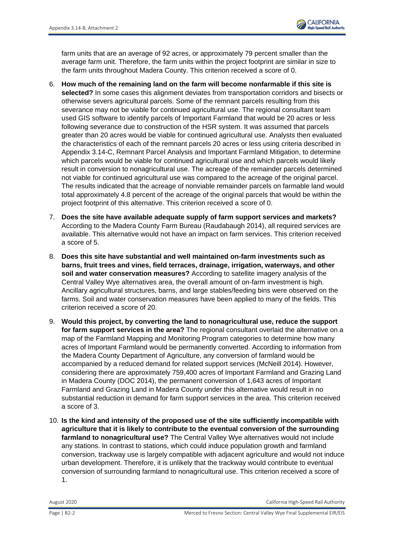

farm units that are an average of 92 acres, or approximately 79 percent smaller than the average farm unit. Therefore, the farm units within the project footprint are similar in size to the farm units throughout Madera County. This criterion received a score of 0.

- 6. **How much of the remaining land on the farm will become nonfarmable if this site is selected?** In some cases this alignment deviates from transportation corridors and bisects or otherwise severs agricultural parcels. Some of the remnant parcels resulting from this severance may not be viable for continued agricultural use. The regional consultant team used GIS software to identify parcels of Important Farmland that would be 20 acres or less following severance due to construction of the HSR system. It was assumed that parcels greater than 20 acres would be viable for continued agricultural use. Analysts then evaluated the characteristics of each of the remnant parcels 20 acres or less using criteria described in Appendix 3.14-C, Remnant Parcel Analysis and Important Farmland Mitigation, to determine which parcels would be viable for continued agricultural use and which parcels would likely result in conversion to nonagricultural use. The acreage of the remainder parcels determined not viable for continued agricultural use was compared to the acreage of the original parcel. The results indicated that the acreage of nonviable remainder parcels on farmable land would total approximately 4.8 percent of the acreage of the original parcels that would be within the project footprint of this alternative. This criterion received a score of 0.
- 7. **Does the site have available adequate supply of farm support services and markets?** According to the Madera County Farm Bureau (Raudabaugh 2014), all required services are available. This alternative would not have an impact on farm services. This criterion received a score of 5.
- 8. **Does this site have substantial and well maintained on-farm investments such as barns, fruit trees and vines, field terraces, drainage, irrigation, waterways, and other soil and water conservation measures?** According to satellite imagery analysis of the Central Valley Wye alternatives area, the overall amount of on-farm investment is high. Ancillary agricultural structures, barns, and large stables/feeding bins were observed on the farms. Soil and water conservation measures have been applied to many of the fields. This criterion received a score of 20.
- 9. **Would this project, by converting the land to nonagricultural use, reduce the support for farm support services in the area?** The regional consultant overlaid the alternative on a map of the Farmland Mapping and Monitoring Program categories to determine how many acres of Important Farmland would be permanently converted. According to information from the Madera County Department of Agriculture, any conversion of farmland would be accompanied by a reduced demand for related support services (McNeill 2014). However, considering there are approximately 759,400 acres of Important Farmland and Grazing Land in Madera County (DOC 2014), the permanent conversion of 1,643 acres of Important Farmland and Grazing Land in Madera County under this alternative would result in no substantial reduction in demand for farm support services in the area. This criterion received a score of 3.
- 10. **Is the kind and intensity of the proposed use of the site sufficiently incompatible with agriculture that it is likely to contribute to the eventual conversion of the surrounding farmland to nonagricultural use?** The Central Valley Wye alternatives would not include any stations. In contrast to stations, which could induce population growth and farmland conversion, trackway use is largely compatible with adjacent agriculture and would not induce urban development. Therefore, it is unlikely that the trackway would contribute to eventual conversion of surrounding farmland to nonagricultural use. This criterion received a score of 1.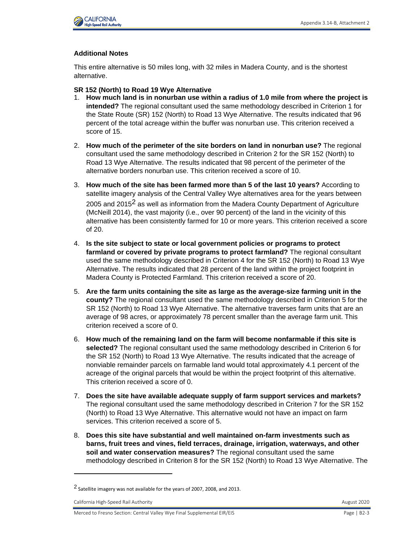

#### **Additional Notes**

This entire alternative is 50 miles long, with 32 miles in Madera County, and is the shortest alternative.

**SR 152 (North) to Road 19 Wye Alternative**

- 1. **How much land is in nonurban use within a radius of 1.0 mile from where the project is intended?** The regional consultant used the same methodology described in Criterion 1 for the State Route (SR) 152 (North) to Road 13 Wye Alternative. The results indicated that 96 percent of the total acreage within the buffer was nonurban use. This criterion received a score of 15.
- 2. **How much of the perimeter of the site borders on land in nonurban use?** The regional consultant used the same methodology described in Criterion 2 for the SR 152 (North) to Road 13 Wye Alternative. The results indicated that 98 percent of the perimeter of the alternative borders nonurban use. This criterion received a score of 10.
- 3. **How much of the site has been farmed more than 5 of the last 10 years?** According to satellite imagery analysis of the Central Valley Wye alternatives area for the years between 2005 and 2015<sup>2</sup> as well as information from the Madera County Department of Agriculture (McNeill 2014), the vast majority (i.e., over 90 percent) of the land in the vicinity of this alternative has been consistently farmed for 10 or more years. This criterion received a score of 20.
- 4. **Is the site subject to state or local government policies or programs to protect farmland or covered by private programs to protect farmland?** The regional consultant used the same methodology described in Criterion 4 for the SR 152 (North) to Road 13 Wye Alternative. The results indicated that 28 percent of the land within the project footprint in Madera County is Protected Farmland. This criterion received a score of 20.
- 5. **Are the farm units containing the site as large as the average-size farming unit in the county?** The regional consultant used the same methodology described in Criterion 5 for the SR 152 (North) to Road 13 Wye Alternative. The alternative traverses farm units that are an average of 98 acres, or approximately 78 percent smaller than the average farm unit. This criterion received a score of 0.
- 6. **How much of the remaining land on the farm will become nonfarmable if this site is selected?** The regional consultant used the same methodology described in Criterion 6 for the SR 152 (North) to Road 13 Wye Alternative. The results indicated that the acreage of nonviable remainder parcels on farmable land would total approximately 4.1 percent of the acreage of the original parcels that would be within the project footprint of this alternative. This criterion received a score of 0.
- 7. **Does the site have available adequate supply of farm support services and markets?** The regional consultant used the same methodology described in Criterion 7 for the SR 152 (North) to Road 13 Wye Alternative. This alternative would not have an impact on farm services. This criterion received a score of 5.
- 8. **Does this site have substantial and well maintained on-farm investments such as barns, fruit trees and vines, field terraces, drainage, irrigation, waterways, and other soil and water conservation measures?** The regional consultant used the same methodology described in Criterion 8 for the SR 152 (North) to Road 13 Wye Alternative. The

California High-Speed Rail Authority August 2020

<sup>2</sup> Satellite imagery was not available for the years of 2007, 2008, and 2013.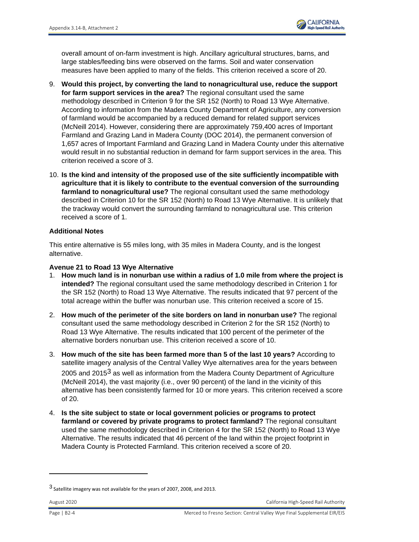

overall amount of on-farm investment is high. Ancillary agricultural structures, barns, and large stables/feeding bins were observed on the farms. Soil and water conservation measures have been applied to many of the fields. This criterion received a score of 20.

- 9. **Would this project, by converting the land to nonagricultural use, reduce the support for farm support services in the area?** The regional consultant used the same methodology described in Criterion 9 for the SR 152 (North) to Road 13 Wye Alternative. According to information from the Madera County Department of Agriculture, any conversion of farmland would be accompanied by a reduced demand for related support services (McNeill 2014). However, considering there are approximately 759,400 acres of Important Farmland and Grazing Land in Madera County (DOC 2014), the permanent conversion of 1,657 acres of Important Farmland and Grazing Land in Madera County under this alternative would result in no substantial reduction in demand for farm support services in the area. This criterion received a score of 3.
- 10. **Is the kind and intensity of the proposed use of the site sufficiently incompatible with agriculture that it is likely to contribute to the eventual conversion of the surrounding farmland to nonagricultural use?** The regional consultant used the same methodology described in Criterion 10 for the SR 152 (North) to Road 13 Wye Alternative. It is unlikely that the trackway would convert the surrounding farmland to nonagricultural use. This criterion received a score of 1.

#### **Additional Notes**

This entire alternative is 55 miles long, with 35 miles in Madera County, and is the longest alternative.

#### **Avenue 21 to Road 13 Wye Alternative**

- 1. **How much land is in nonurban use within a radius of 1.0 mile from where the project is intended?** The regional consultant used the same methodology described in Criterion 1 for the SR 152 (North) to Road 13 Wye Alternative. The results indicated that 97 percent of the total acreage within the buffer was nonurban use. This criterion received a score of 15.
- 2. **How much of the perimeter of the site borders on land in nonurban use?** The regional consultant used the same methodology described in Criterion 2 for the SR 152 (North) to Road 13 Wye Alternative. The results indicated that 100 percent of the perimeter of the alternative borders nonurban use. This criterion received a score of 10.
- 3. **How much of the site has been farmed more than 5 of the last 10 years?** According to satellite imagery analysis of the Central Valley Wye alternatives area for the years between 2005 and 2015<sup>3</sup> as well as information from the Madera County Department of Agriculture (McNeill 2014), the vast majority (i.e., over 90 percent) of the land in the vicinity of this alternative has been consistently farmed for 10 or more years. This criterion received a score of 20.
- 4. **Is the site subject to state or local government policies or programs to protect farmland or covered by private programs to protect farmland?** The regional consultant used the same methodology described in Criterion 4 for the SR 152 (North) to Road 13 Wye Alternative. The results indicated that 46 percent of the land within the project footprint in Madera County is Protected Farmland. This criterion received a score of 20.

<sup>3</sup> Satellite imagery was not available for the years of 2007, 2008, and 2013.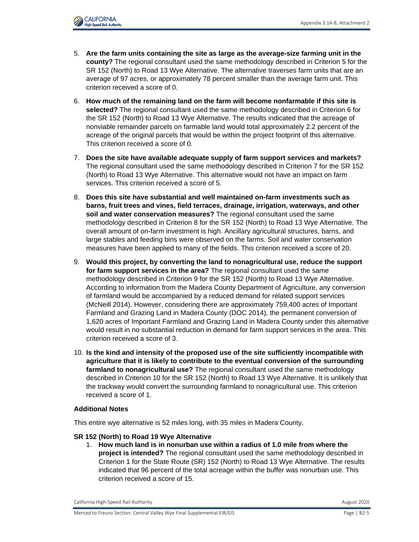

- 5. **Are the farm units containing the site as large as the average-size farming unit in the county?** The regional consultant used the same methodology described in Criterion 5 for the SR 152 (North) to Road 13 Wye Alternative. The alternative traverses farm units that are an average of 97 acres, or approximately 78 percent smaller than the average farm unit. This criterion received a score of 0.
- 6. **How much of the remaining land on the farm will become nonfarmable if this site is selected?** The regional consultant used the same methodology described in Criterion 6 for the SR 152 (North) to Road 13 Wye Alternative. The results indicated that the acreage of nonviable remainder parcels on farmable land would total approximately 2.2 percent of the acreage of the original parcels that would be within the project footprint of this alternative. This criterion received a score of 0.
- 7. **Does the site have available adequate supply of farm support services and markets?** The regional consultant used the same methodology described in Criterion 7 for the SR 152 (North) to Road 13 Wye Alternative. This alternative would not have an impact on farm services. This criterion received a score of 5.
- 8. **Does this site have substantial and well maintained on-farm investments such as barns, fruit trees and vines, field terraces, drainage, irrigation, waterways, and other soil and water conservation measures?** The regional consultant used the same methodology described in Criterion 8 for the SR 152 (North) to Road 13 Wye Alternative. The overall amount of on-farm investment is high. Ancillary agricultural structures, barns, and large stables and feeding bins were observed on the farms. Soil and water conservation measures have been applied to many of the fields. This criterion received a score of 20.
- 9. **Would this project, by converting the land to nonagricultural use, reduce the support for farm support services in the area?** The regional consultant used the same methodology described in Criterion 9 for the SR 152 (North) to Road 13 Wye Alternative. According to information from the Madera County Department of Agriculture, any conversion of farmland would be accompanied by a reduced demand for related support services (McNeill 2014). However, considering there are approximately 759,400 acres of Important Farmland and Grazing Land in Madera County (DOC 2014), the permanent conversion of 1,620 acres of Important Farmland and Grazing Land in Madera County under this alternative would result in no substantial reduction in demand for farm support services in the area. This criterion received a score of 3.
- 10. **Is the kind and intensity of the proposed use of the site sufficiently incompatible with agriculture that it is likely to contribute to the eventual conversion of the surrounding farmland to nonagricultural use?** The regional consultant used the same methodology described in Criterion 10 for the SR 152 (North) to Road 13 Wye Alternative. It is unlikely that the trackway would convert the surrounding farmland to nonagricultural use. This criterion received a score of 1.

#### **Additional Notes**

This entire wye alternative is 52 miles long, with 35 miles in Madera County.

#### **SR 152 (North) to Road 19 Wye Alternative**

1. **How much land is in nonurban use within a radius of 1.0 mile from where the project is intended?** The regional consultant used the same methodology described in Criterion 1 for the State Route (SR) 152 (North) to Road 13 Wye Alternative. The results indicated that 96 percent of the total acreage within the buffer was nonurban use. This criterion received a score of 15.

California High-Speed Rail Authority August 2020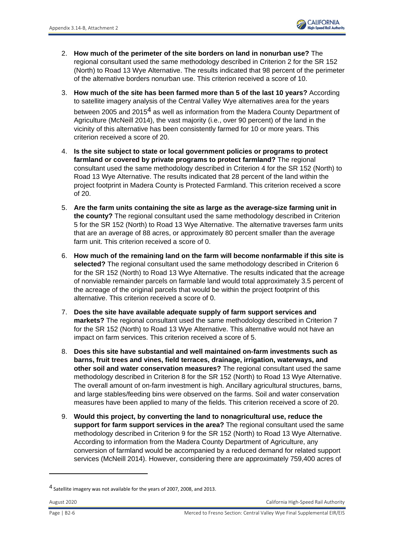- 2. **How much of the perimeter of the site borders on land in nonurban use?** The regional consultant used the same methodology described in Criterion 2 for the SR 152 (North) to Road 13 Wye Alternative. The results indicated that 98 percent of the perimeter of the alternative borders nonurban use. This criterion received a score of 10.
- 3. **How much of the site has been farmed more than 5 of the last 10 years?** According to satellite imagery analysis of the Central Valley Wye alternatives area for the years between 2005 and 2015<sup>4</sup> as well as information from the Madera County Department of Agriculture (McNeill 2014), the vast majority (i.e., over 90 percent) of the land in the vicinity of this alternative has been consistently farmed for 10 or more years. This criterion received a score of 20.
- 4. **Is the site subject to state or local government policies or programs to protect farmland or covered by private programs to protect farmland?** The regional consultant used the same methodology described in Criterion 4 for the SR 152 (North) to Road 13 Wye Alternative. The results indicated that 28 percent of the land within the project footprint in Madera County is Protected Farmland. This criterion received a score of 20.
- 5. **Are the farm units containing the site as large as the average-size farming unit in the county?** The regional consultant used the same methodology described in Criterion 5 for the SR 152 (North) to Road 13 Wye Alternative. The alternative traverses farm units that are an average of 88 acres, or approximately 80 percent smaller than the average farm unit. This criterion received a score of 0.
- 6. **How much of the remaining land on the farm will become nonfarmable if this site is selected?** The regional consultant used the same methodology described in Criterion 6 for the SR 152 (North) to Road 13 Wye Alternative. The results indicated that the acreage of nonviable remainder parcels on farmable land would total approximately 3.5 percent of the acreage of the original parcels that would be within the project footprint of this alternative. This criterion received a score of 0.
- 7. **Does the site have available adequate supply of farm support services and markets?** The regional consultant used the same methodology described in Criterion 7 for the SR 152 (North) to Road 13 Wye Alternative. This alternative would not have an impact on farm services. This criterion received a score of 5.
- 8. **Does this site have substantial and well maintained on-farm investments such as barns, fruit trees and vines, field terraces, drainage, irrigation, waterways, and other soil and water conservation measures?** The regional consultant used the same methodology described in Criterion 8 for the SR 152 (North) to Road 13 Wye Alternative. The overall amount of on-farm investment is high. Ancillary agricultural structures, barns, and large stables/feeding bins were observed on the farms. Soil and water conservation measures have been applied to many of the fields. This criterion received a score of 20.
- 9. **Would this project, by converting the land to nonagricultural use, reduce the support for farm support services in the area?** The regional consultant used the same methodology described in Criterion 9 for the SR 152 (North) to Road 13 Wye Alternative. According to information from the Madera County Department of Agriculture, any conversion of farmland would be accompanied by a reduced demand for related support services (McNeill 2014). However, considering there are approximately 759,400 acres of

August 2020 California High-Speed Rail Authority

<sup>&</sup>lt;sup>4</sup> Satellite imagery was not available for the years of 2007, 2008, and 2013.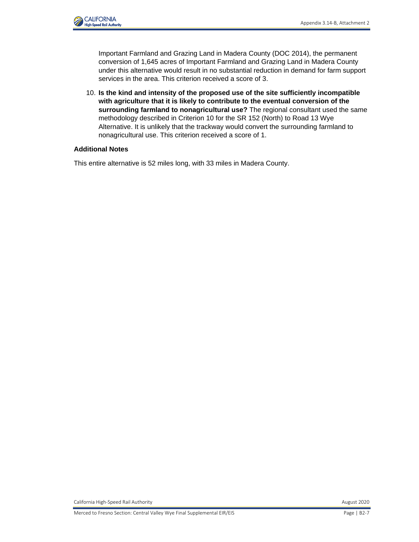

Important Farmland and Grazing Land in Madera County (DOC 2014), the permanent conversion of 1,645 acres of Important Farmland and Grazing Land in Madera County under this alternative would result in no substantial reduction in demand for farm support services in the area. This criterion received a score of 3.

10. **Is the kind and intensity of the proposed use of the site sufficiently incompatible with agriculture that it is likely to contribute to the eventual conversion of the surrounding farmland to nonagricultural use?** The regional consultant used the same methodology described in Criterion 10 for the SR 152 (North) to Road 13 Wye Alternative. It is unlikely that the trackway would convert the surrounding farmland to nonagricultural use. This criterion received a score of 1.

#### **Additional Notes**

This entire alternative is 52 miles long, with 33 miles in Madera County.

California High-Speed Rail Authority **August 2020** California High-Speed Rail Authority